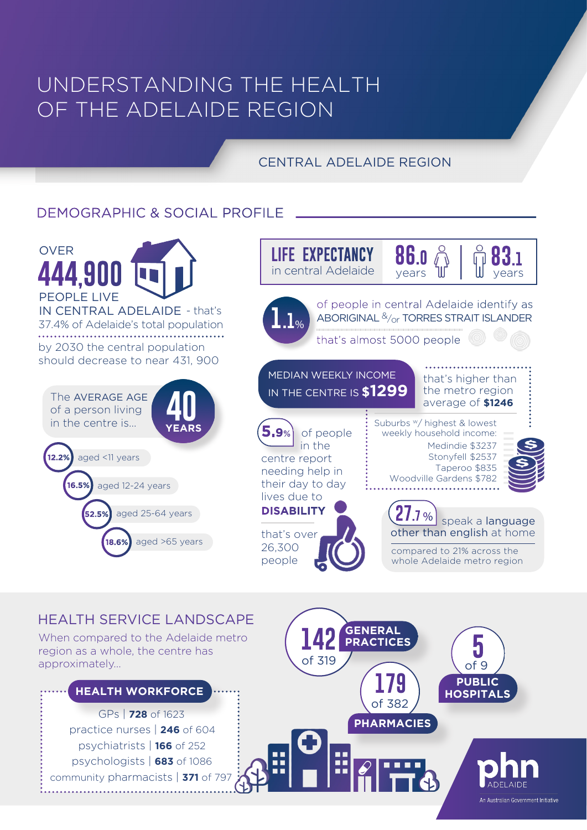# UNDERSTANDING THE HEALTH OF THE ADELAIDE REGION

## CENTRAL ADELAIDE REGION

## DEMOGRAPHIC & SOCIAL PROFILE



### HEALTH SERVICE LANDSCAPE

When compared to the Adelaide metro region as a whole, the centre has approximately...

GPs | **728** of 1623 psychiatrists | **166** of 252 psychologists | **683** of 1086 community pharmacists | 371 of 79 practice nurses | **246** of 604 **HEALTH WORKFORCE**